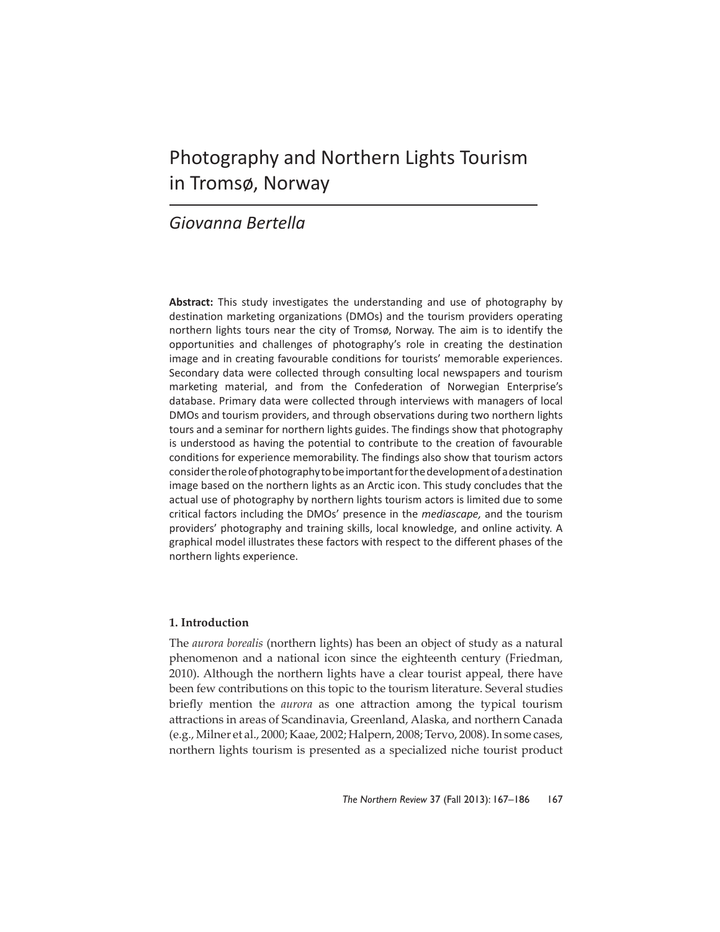# Photography and Northern Lights Tourism in Tromsø, Norway

# *Giovanna Bertella*

**Abstract:** This study investigates the understanding and use of photography by destination marketing organizations (DMOs) and the tourism providers operating northern lights tours near the city of Tromsø, Norway. The aim is to identify the opportunities and challenges of photography's role in creating the destination image and in creating favourable conditions for tourists' memorable experiences. Secondary data were collected through consulting local newspapers and tourism marketing material, and from the Confederation of Norwegian Enterprise's database. Primary data were collected through interviews with managers of local DMOs and tourism providers, and through observations during two northern lights tours and a seminar for northern lights guides. The findings show that photography is understood as having the potential to contribute to the creation of favourable conditions for experience memorability. The findings also show that tourism actors consider the role of photography to be important for the development of a destination image based on the northern lights as an Arctic icon. This study concludes that the actual use of photography by northern lights tourism actors is limited due to some critical factors including the DMOs' presence in the *mediascape,* and the tourism providers' photography and training skills, local knowledge, and online activity. A graphical model illustrates these factors with respect to the different phases of the northern lights experience.

# **1. Introduction**

The *aurora borealis* (northern lights) has been an object of study as a natural phenomenon and a national icon since the eighteenth century (Friedman, 2010). Although the northern lights have a clear tourist appeal, there have been few contributions on this topic to the tourism literature. Several studies briefly mention the *aurora* as one attraction among the typical tourism attractions in areas of Scandinavia, Greenland, Alaska, and northern Canada (e.g., Milner et al., 2000; Kaae, 2002; Halpern, 2008; Tervo, 2008). In some cases, northern lights tourism is presented as a specialized niche tourist product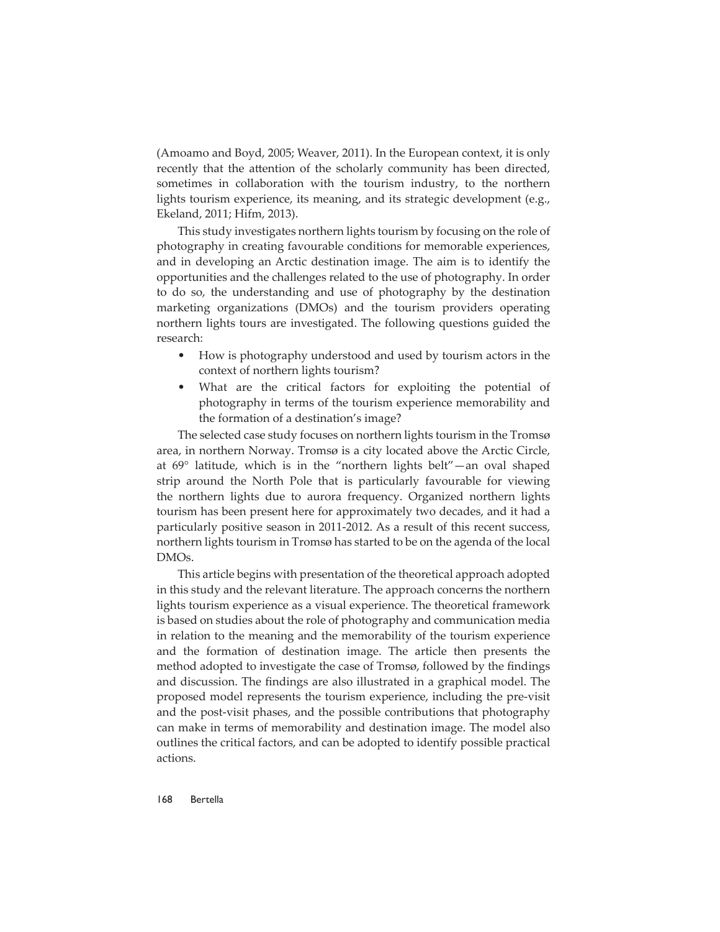(Amoamo and Boyd, 2005; Weaver, 2011). In the European context, it is only recently that the attention of the scholarly community has been directed, sometimes in collaboration with the tourism industry, to the northern lights tourism experience, its meaning, and its strategic development (e.g., Ekeland, 2011; Hifm, 2013).

This study investigates northern lights tourism by focusing on the role of photography in creating favourable conditions for memorable experiences, and in developing an Arctic destination image. The aim is to identify the opportunities and the challenges related to the use of photography. In order to do so, the understanding and use of photography by the destination marketing organizations (DMOs) and the tourism providers operating northern lights tours are investigated. The following questions guided the research:

- How is photography understood and used by tourism actors in the context of northern lights tourism?
- What are the critical factors for exploiting the potential of photography in terms of the tourism experience memorability and the formation of a destination's image?

The selected case study focuses on northern lights tourism in the Tromsø area, in northern Norway. Tromsø is a city located above the Arctic Circle, at 69° latitude, which is in the "northern lights belt"—an oval shaped strip around the North Pole that is particularly favourable for viewing the northern lights due to aurora frequency. Organized northern lights tourism has been present here for approximately two decades, and it had a particularly positive season in 2011-2012. As a result of this recent success, northern lights tourism in Tromsø has started to be on the agenda of the local DMOs.

This article begins with presentation of the theoretical approach adopted in this study and the relevant literature. The approach concerns the northern lights tourism experience as a visual experience. The theoretical framework is based on studies about the role of photography and communication media in relation to the meaning and the memorability of the tourism experience and the formation of destination image. The article then presents the method adopted to investigate the case of Tromsø, followed by the findings and discussion. The findings are also illustrated in a graphical model. The proposed model represents the tourism experience, including the pre-visit and the post-visit phases, and the possible contributions that photography can make in terms of memorability and destination image. The model also outlines the critical factors, and can be adopted to identify possible practical actions.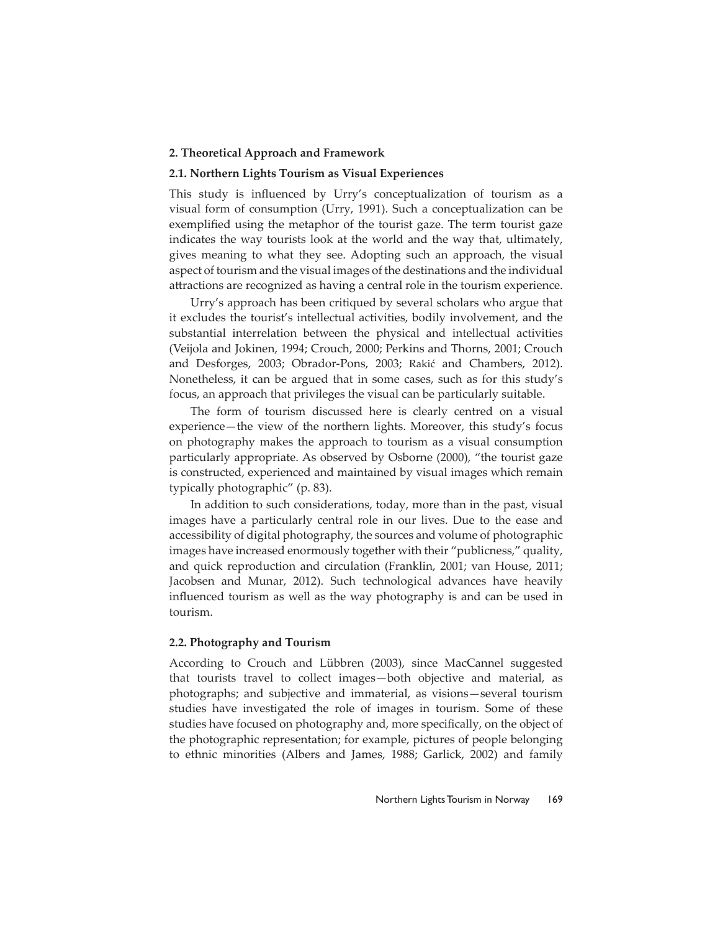#### **2. Theoretical Approach and Framework**

#### **2.1. Northern Lights Tourism as Visual Experiences**

This study is influenced by Urry's conceptualization of tourism as a visual form of consumption (Urry, 1991). Such a conceptualization can be exemplified using the metaphor of the tourist gaze. The term tourist gaze indicates the way tourists look at the world and the way that, ultimately, gives meaning to what they see. Adopting such an approach, the visual aspect of tourism and the visual images of the destinations and the individual attractions are recognized as having a central role in the tourism experience.

Urry's approach has been critiqued by several scholars who argue that it excludes the tourist's intellectual activities, bodily involvement, and the substantial interrelation between the physical and intellectual activities (Veijola and Jokinen, 1994; Crouch, 2000; Perkins and Thorns, 2001; Crouch and Desforges, 2003; Obrador-Pons, 2003; Rakić and Chambers, 2012). Nonetheless, it can be argued that in some cases, such as for this study's focus, an approach that privileges the visual can be particularly suitable.

The form of tourism discussed here is clearly centred on a visual experience—the view of the northern lights. Moreover, this study's focus on photography makes the approach to tourism as a visual consumption particularly appropriate. As observed by Osborne (2000), "the tourist gaze is constructed, experienced and maintained by visual images which remain typically photographic" (p. 83).

In addition to such considerations, today, more than in the past, visual images have a particularly central role in our lives. Due to the ease and accessibility of digital photography, the sources and volume of photographic images have increased enormously together with their "publicness," quality, and quick reproduction and circulation (Franklin, 2001; van House, 2011; Jacobsen and Munar, 2012). Such technological advances have heavily influenced tourism as well as the way photography is and can be used in tourism.

#### **2.2. Photography and Tourism**

According to Crouch and Lübbren (2003), since MacCannel suggested that tourists travel to collect images—both objective and material, as photographs; and subjective and immaterial, as visions—several tourism studies have investigated the role of images in tourism. Some of these studies have focused on photography and, more specifically, on the object of the photographic representation; for example, pictures of people belonging to ethnic minorities (Albers and James, 1988; Garlick, 2002) and family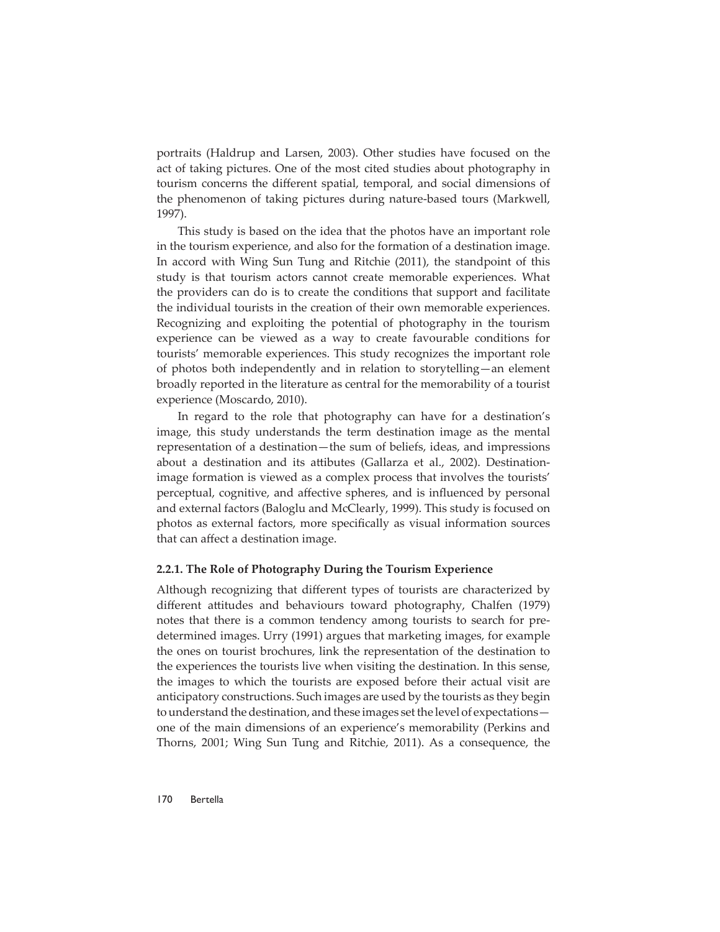portraits (Haldrup and Larsen, 2003). Other studies have focused on the act of taking pictures. One of the most cited studies about photography in tourism concerns the different spatial, temporal, and social dimensions of the phenomenon of taking pictures during nature-based tours (Markwell, 1997).

This study is based on the idea that the photos have an important role in the tourism experience, and also for the formation of a destination image. In accord with Wing Sun Tung and Ritchie (2011), the standpoint of this study is that tourism actors cannot create memorable experiences. What the providers can do is to create the conditions that support and facilitate the individual tourists in the creation of their own memorable experiences. Recognizing and exploiting the potential of photography in the tourism experience can be viewed as a way to create favourable conditions for tourists' memorable experiences. This study recognizes the important role of photos both independently and in relation to storytelling—an element broadly reported in the literature as central for the memorability of a tourist experience (Moscardo, 2010).

In regard to the role that photography can have for a destination's image, this study understands the term destination image as the mental representation of a destination—the sum of beliefs, ideas, and impressions about a destination and its attibutes (Gallarza et al., 2002). Destinationimage formation is viewed as a complex process that involves the tourists' perceptual, cognitive, and affective spheres, and is influenced by personal and external factors (Baloglu and McClearly, 1999). This study is focused on photos as external factors, more specifically as visual information sources that can affect a destination image.

#### **2.2.1. The Role of Photography During the Tourism Experience**

Although recognizing that different types of tourists are characterized by different attitudes and behaviours toward photography, Chalfen (1979) notes that there is a common tendency among tourists to search for predetermined images. Urry (1991) argues that marketing images, for example the ones on tourist brochures, link the representation of the destination to the experiences the tourists live when visiting the destination. In this sense, the images to which the tourists are exposed before their actual visit are anticipatory constructions. Such images are used by the tourists as they begin to understand the destination, and these images set the level of expectations one of the main dimensions of an experience's memorability (Perkins and Thorns, 2001; Wing Sun Tung and Ritchie, 2011). As a consequence, the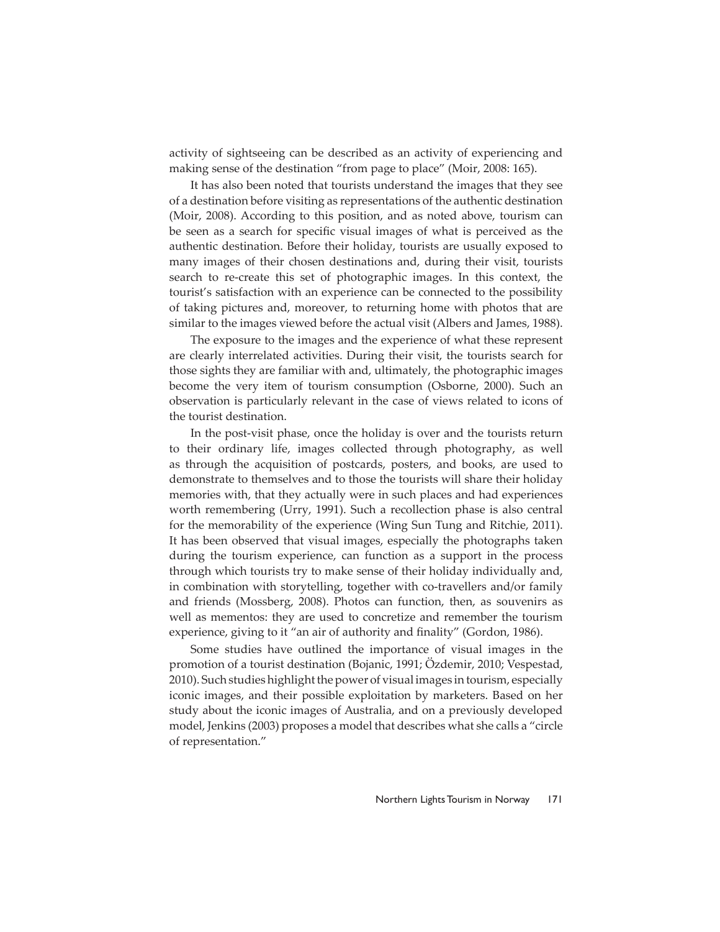activity of sightseeing can be described as an activity of experiencing and making sense of the destination "from page to place" (Moir, 2008: 165).

It has also been noted that tourists understand the images that they see of a destination before visiting as representations of the authentic destination (Moir, 2008). According to this position, and as noted above, tourism can be seen as a search for specific visual images of what is perceived as the authentic destination. Before their holiday, tourists are usually exposed to many images of their chosen destinations and, during their visit, tourists search to re-create this set of photographic images. In this context, the tourist's satisfaction with an experience can be connected to the possibility of taking pictures and, moreover, to returning home with photos that are similar to the images viewed before the actual visit (Albers and James, 1988).

The exposure to the images and the experience of what these represent are clearly interrelated activities. During their visit, the tourists search for those sights they are familiar with and, ultimately, the photographic images become the very item of tourism consumption (Osborne, 2000). Such an observation is particularly relevant in the case of views related to icons of the tourist destination.

In the post-visit phase, once the holiday is over and the tourists return to their ordinary life, images collected through photography, as well as through the acquisition of postcards, posters, and books, are used to demonstrate to themselves and to those the tourists will share their holiday memories with, that they actually were in such places and had experiences worth remembering (Urry, 1991). Such a recollection phase is also central for the memorability of the experience (Wing Sun Tung and Ritchie, 2011). It has been observed that visual images, especially the photographs taken during the tourism experience, can function as a support in the process through which tourists try to make sense of their holiday individually and, in combination with storytelling, together with co-travellers and/or family and friends (Mossberg, 2008). Photos can function, then, as souvenirs as well as mementos: they are used to concretize and remember the tourism experience, giving to it "an air of authority and finality" (Gordon, 1986).

Some studies have outlined the importance of visual images in the promotion of a tourist destination (Bojanic, 1991; Özdemir, 2010; Vespestad, 2010). Such studies highlight the power of visual images in tourism, especially iconic images, and their possible exploitation by marketers. Based on her study about the iconic images of Australia, and on a previously developed model, Jenkins (2003) proposes a model that describes what she calls a "circle of representation."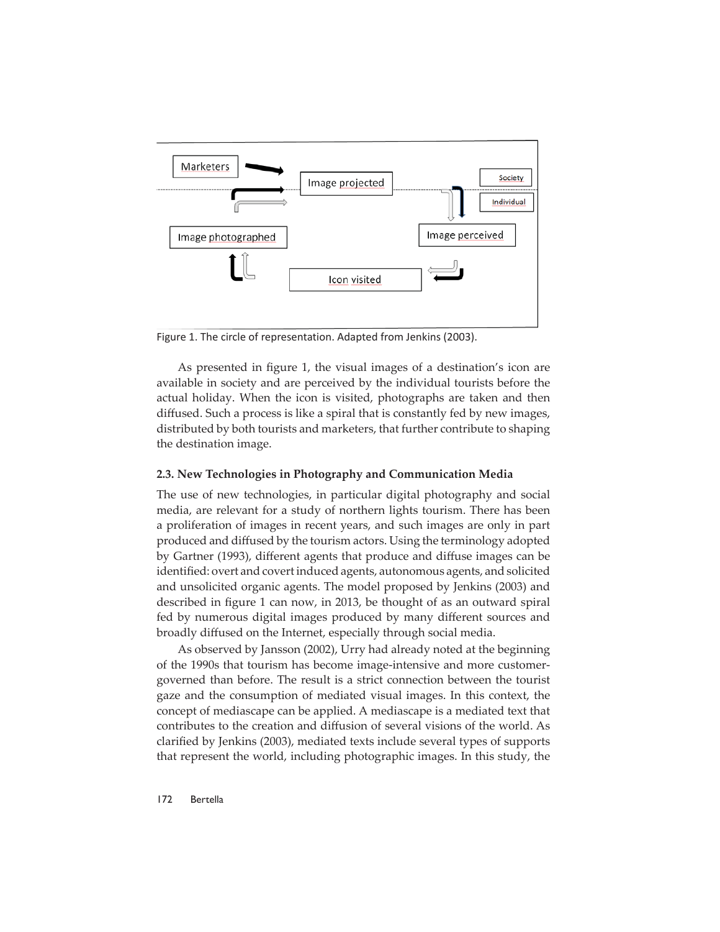

Figure 1. The circle of representation. Adapted from Jenkins (2003).

As presented in figure 1, the visual images of a destination's icon are available in society and are perceived by the individual tourists before the actual holiday. When the icon is visited, photographs are taken and then diffused. Such a process is like a spiral that is constantly fed by new images, distributed by both tourists and marketers, that further contribute to shaping the destination image.

#### **2.3. New Technologies in Photography and Communication Media**

The use of new technologies, in particular digital photography and social media, are relevant for a study of northern lights tourism. There has been a proliferation of images in recent years, and such images are only in part produced and diffused by the tourism actors. Using the terminology adopted by Gartner (1993), different agents that produce and diffuse images can be identified: overt and covert induced agents, autonomous agents, and solicited and unsolicited organic agents. The model proposed by Jenkins (2003) and described in figure 1 can now, in 2013, be thought of as an outward spiral fed by numerous digital images produced by many different sources and broadly diffused on the Internet, especially through social media.

As observed by Jansson (2002), Urry had already noted at the beginning of the 1990s that tourism has become image-intensive and more customergoverned than before. The result is a strict connection between the tourist gaze and the consumption of mediated visual images. In this context, the concept of mediascape can be applied. A mediascape is a mediated text that contributes to the creation and diffusion of several visions of the world. As clarified by Jenkins (2003), mediated texts include several types of supports that represent the world, including photographic images. In this study, the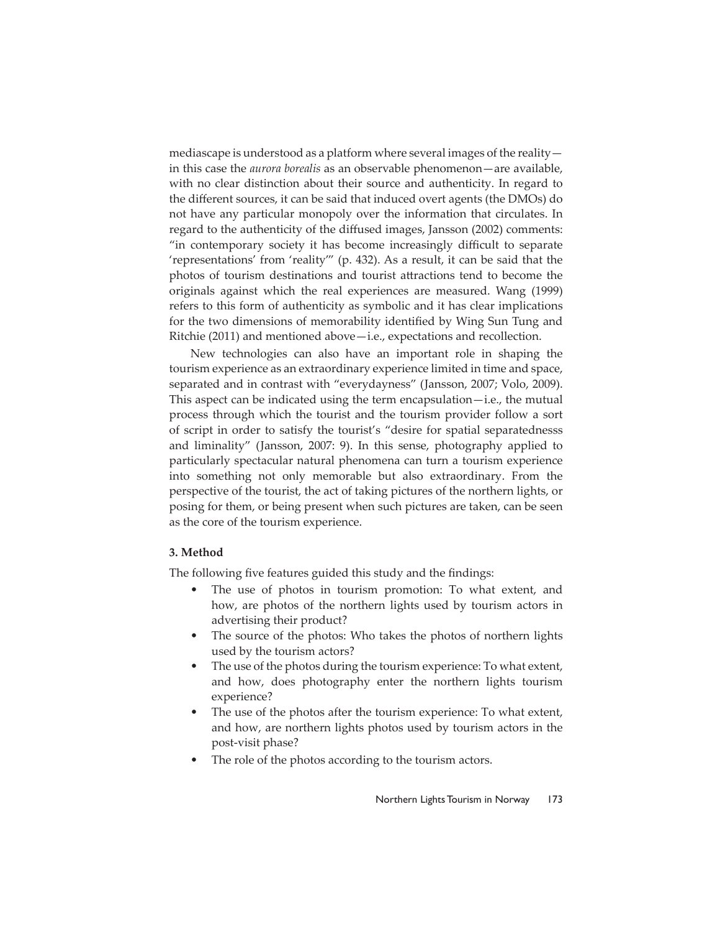mediascape is understood as a platform where several images of the reality in this case the *aurora borealis* as an observable phenomenon—are available, with no clear distinction about their source and authenticity. In regard to the different sources, it can be said that induced overt agents (the DMOs) do not have any particular monopoly over the information that circulates. In regard to the authenticity of the diffused images, Jansson (2002) comments: "in contemporary society it has become increasingly difficult to separate 'representations' from 'reality'" (p. 432). As a result, it can be said that the photos of tourism destinations and tourist attractions tend to become the originals against which the real experiences are measured. Wang (1999) refers to this form of authenticity as symbolic and it has clear implications for the two dimensions of memorability identified by Wing Sun Tung and Ritchie (2011) and mentioned above—i.e., expectations and recollection.

New technologies can also have an important role in shaping the tourism experience as an extraordinary experience limited in time and space, separated and in contrast with "everydayness" (Jansson, 2007; Volo, 2009). This aspect can be indicated using the term encapsulation—i.e., the mutual process through which the tourist and the tourism provider follow a sort of script in order to satisfy the tourist's "desire for spatial separatednesss and liminality" (Jansson, 2007: 9). In this sense, photography applied to particularly spectacular natural phenomena can turn a tourism experience into something not only memorable but also extraordinary. From the perspective of the tourist, the act of taking pictures of the northern lights, or posing for them, or being present when such pictures are taken, can be seen as the core of the tourism experience.

#### **3. Method**

The following five features guided this study and the findings:

- The use of photos in tourism promotion: To what extent, and how, are photos of the northern lights used by tourism actors in advertising their product?
- The source of the photos: Who takes the photos of northern lights used by the tourism actors?
- The use of the photos during the tourism experience: To what extent, and how, does photography enter the northern lights tourism experience?
- The use of the photos after the tourism experience: To what extent, and how, are northern lights photos used by tourism actors in the post-visit phase?
- The role of the photos according to the tourism actors.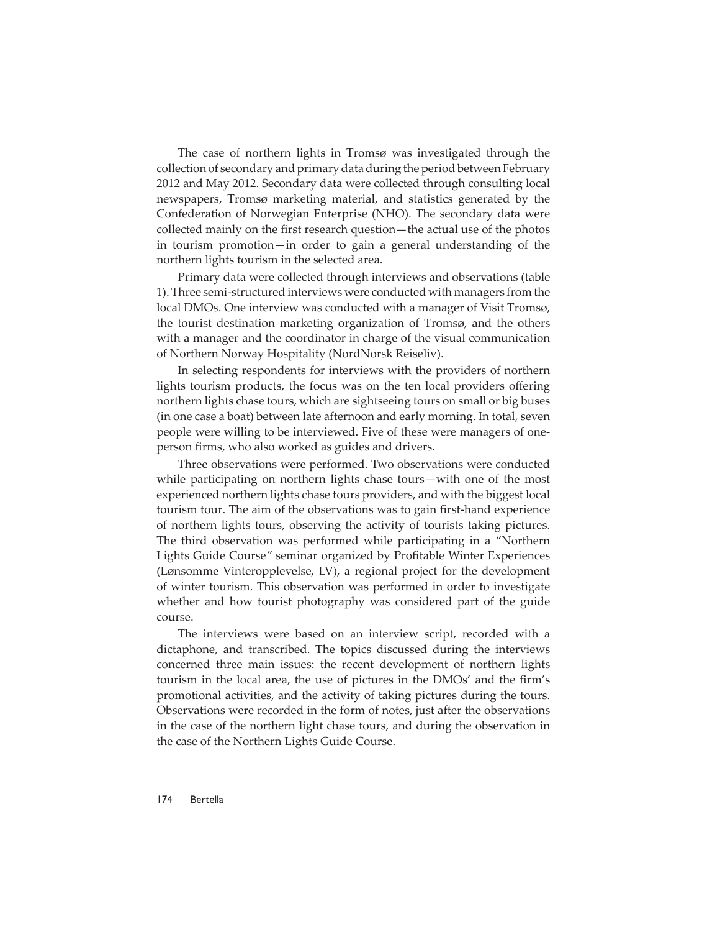The case of northern lights in Tromsø was investigated through the collection of secondary and primary data during the period between February 2012 and May 2012. Secondary data were collected through consulting local newspapers, Tromsø marketing material, and statistics generated by the Confederation of Norwegian Enterprise (NHO). The secondary data were collected mainly on the first research question—the actual use of the photos in tourism promotion—in order to gain a general understanding of the northern lights tourism in the selected area.

Primary data were collected through interviews and observations (table 1). Three semi-structured interviews were conducted with managers from the local DMOs. One interview was conducted with a manager of Visit Tromsø, the tourist destination marketing organization of Tromsø, and the others with a manager and the coordinator in charge of the visual communication of Northern Norway Hospitality (NordNorsk Reiseliv).

In selecting respondents for interviews with the providers of northern lights tourism products, the focus was on the ten local providers offering northern lights chase tours, which are sightseeing tours on small or big buses (in one case a boat) between late afternoon and early morning. In total, seven people were willing to be interviewed. Five of these were managers of oneperson firms, who also worked as guides and drivers.

Three observations were performed. Two observations were conducted while participating on northern lights chase tours—with one of the most experienced northern lights chase tours providers, and with the biggest local tourism tour. The aim of the observations was to gain first-hand experience of northern lights tours, observing the activity of tourists taking pictures. The third observation was performed while participating in a "Northern Lights Guide Course" seminar organized by Profitable Winter Experiences (Lønsomme Vinteropplevelse, LV), a regional project for the development of winter tourism. This observation was performed in order to investigate whether and how tourist photography was considered part of the guide course.

The interviews were based on an interview script, recorded with a dictaphone, and transcribed. The topics discussed during the interviews concerned three main issues: the recent development of northern lights tourism in the local area, the use of pictures in the DMOs' and the firm's promotional activities, and the activity of taking pictures during the tours. Observations were recorded in the form of notes, just after the observations in the case of the northern light chase tours, and during the observation in the case of the Northern Lights Guide Course.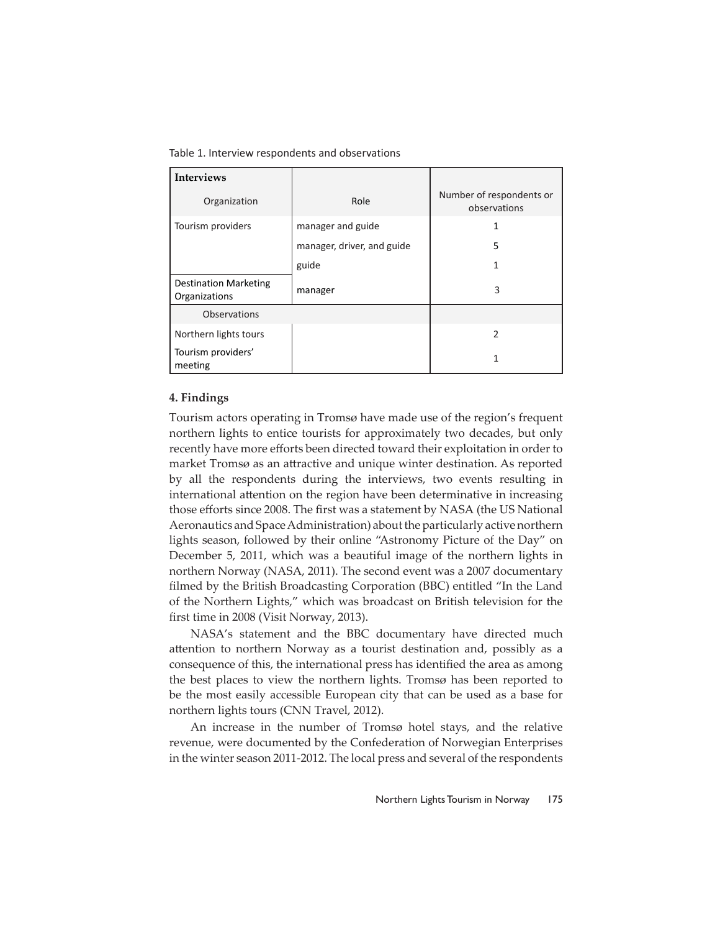Table 1. Interview respondents and observations

| <b>Interviews</b>                             |                            |                                          |
|-----------------------------------------------|----------------------------|------------------------------------------|
| Organization                                  | Role                       | Number of respondents or<br>observations |
| Tourism providers                             | manager and guide          |                                          |
|                                               | manager, driver, and guide | 5                                        |
|                                               | guide                      |                                          |
| <b>Destination Marketing</b><br>Organizations | manager                    | 3                                        |
| Observations                                  |                            |                                          |
| Northern lights tours                         |                            | 2                                        |
| Tourism providers'<br>meeting                 |                            | 1                                        |

# **4. Findings**

Tourism actors operating in Tromsø have made use of the region's frequent northern lights to entice tourists for approximately two decades, but only recently have more efforts been directed toward their exploitation in order to market Tromsø as an attractive and unique winter destination. As reported by all the respondents during the interviews, two events resulting in international attention on the region have been determinative in increasing those efforts since 2008. The first was a statement by NASA (the US National Aeronautics and Space Administration) about the particularly active northern lights season, followed by their online "Astronomy Picture of the Day" on December 5, 2011, which was a beautiful image of the northern lights in northern Norway (NASA, 2011). The second event was a 2007 documentary filmed by the British Broadcasting Corporation (BBC) entitled "In the Land of the Northern Lights," which was broadcast on British television for the first time in 2008 (Visit Norway, 2013).

NASA's statement and the BBC documentary have directed much attention to northern Norway as a tourist destination and, possibly as a consequence of this, the international press has identified the area as among the best places to view the northern lights. Tromsø has been reported to be the most easily accessible European city that can be used as a base for northern lights tours (CNN Travel, 2012).

An increase in the number of Tromsø hotel stays, and the relative revenue, were documented by the Confederation of Norwegian Enterprises in the winter season 2011-2012. The local press and several of the respondents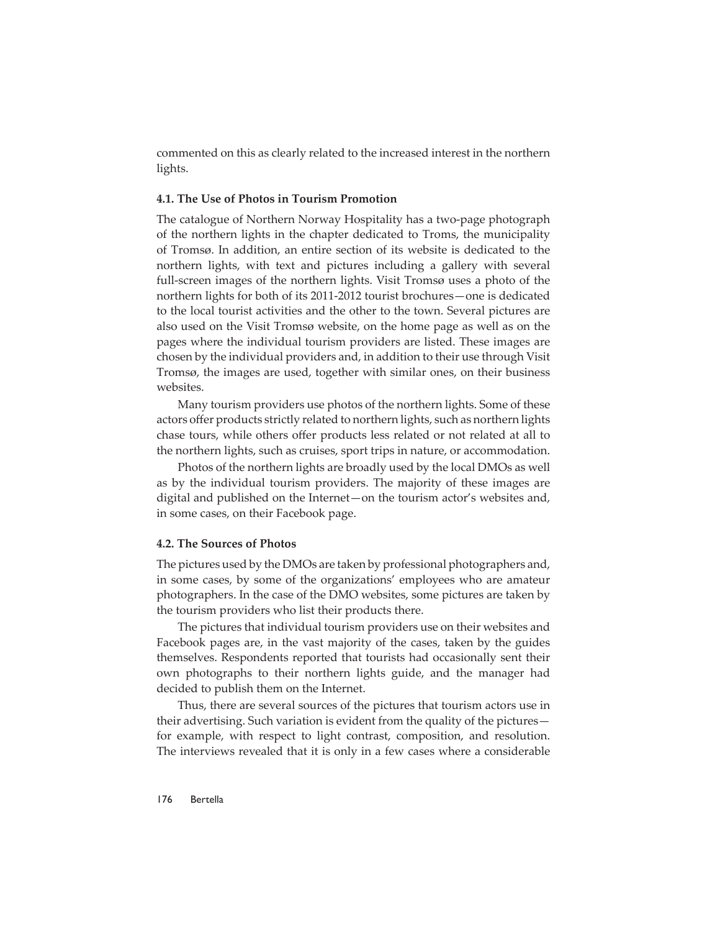commented on this as clearly related to the increased interest in the northern lights.

#### **4.1. The Use of Photos in Tourism Promotion**

The catalogue of Northern Norway Hospitality has a two-page photograph of the northern lights in the chapter dedicated to Troms, the municipality of Tromsø. In addition, an entire section of its website is dedicated to the northern lights, with text and pictures including a gallery with several full-screen images of the northern lights. Visit Tromsø uses a photo of the northern lights for both of its 2011-2012 tourist brochures—one is dedicated to the local tourist activities and the other to the town. Several pictures are also used on the Visit Tromsø website, on the home page as well as on the pages where the individual tourism providers are listed. These images are chosen by the individual providers and, in addition to their use through Visit Tromsø, the images are used, together with similar ones, on their business websites.

Many tourism providers use photos of the northern lights. Some of these actors offer products strictly related to northern lights, such as northern lights chase tours, while others offer products less related or not related at all to the northern lights, such as cruises, sport trips in nature, or accommodation.

Photos of the northern lights are broadly used by the local DMOs as well as by the individual tourism providers. The majority of these images are digital and published on the Internet—on the tourism actor's websites and, in some cases, on their Facebook page.

#### **4.2. The Sources of Photos**

The pictures used by the DMOs are taken by professional photographers and, in some cases, by some of the organizations' employees who are amateur photographers. In the case of the DMO websites, some pictures are taken by the tourism providers who list their products there.

The pictures that individual tourism providers use on their websites and Facebook pages are, in the vast majority of the cases, taken by the guides themselves. Respondents reported that tourists had occasionally sent their own photographs to their northern lights guide, and the manager had decided to publish them on the Internet.

Thus, there are several sources of the pictures that tourism actors use in their advertising. Such variation is evident from the quality of the pictures for example, with respect to light contrast, composition, and resolution. The interviews revealed that it is only in a few cases where a considerable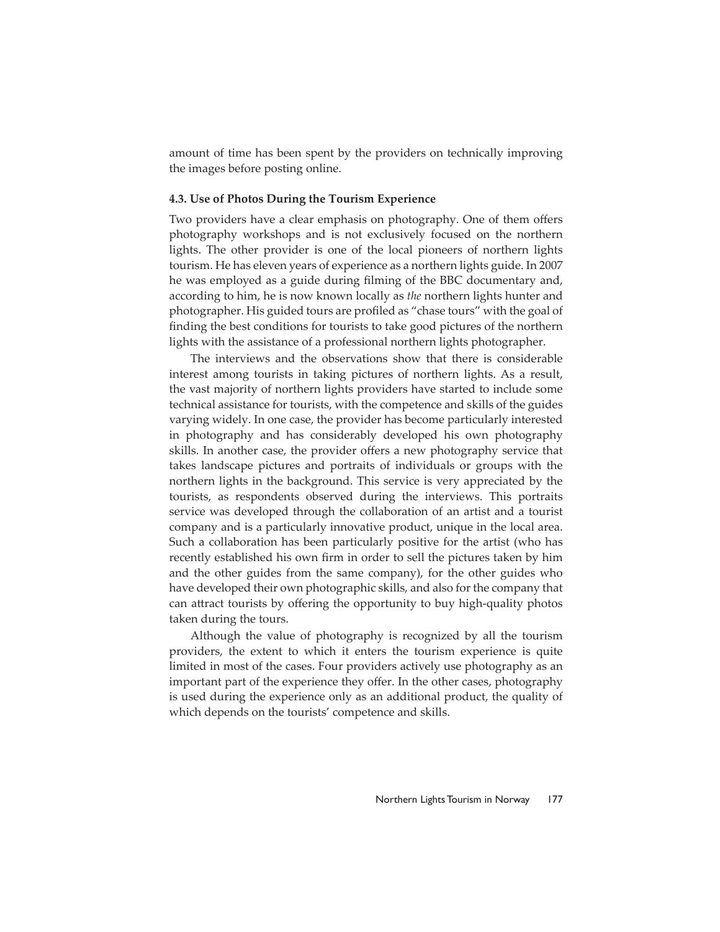amount of time has been spent by the providers on technically improving the images before posting online.

#### **4.3. Use of Photos During the Tourism Experience**

Two providers have a clear emphasis on photography. One of them offers photography workshops and is not exclusively focused on the northern lights. The other provider is one of the local pioneers of northern lights tourism. He has eleven years of experience as a northern lights guide. In 2007 he was employed as a guide during filming of the BBC documentary and, according to him, he is now known locally as *the* northern lights hunter and photographer. His guided tours are profiled as "chase tours" with the goal of finding the best conditions for tourists to take good pictures of the northern lights with the assistance of a professional northern lights photographer.

The interviews and the observations show that there is considerable interest among tourists in taking pictures of northern lights. As a result, the vast majority of northern lights providers have started to include some technical assistance for tourists, with the competence and skills of the guides varying widely. In one case, the provider has become particularly interested in photography and has considerably developed his own photography skills. In another case, the provider offers a new photography service that takes landscape pictures and portraits of individuals or groups with the northern lights in the background. This service is very appreciated by the tourists, as respondents observed during the interviews. This portraits service was developed through the collaboration of an artist and a tourist company and is a particularly innovative product, unique in the local area. Such a collaboration has been particularly positive for the artist (who has recently established his own firm in order to sell the pictures taken by him and the other guides from the same company), for the other guides who have developed their own photographic skills, and also for the company that can attract tourists by offering the opportunity to buy high-quality photos taken during the tours.

Although the value of photography is recognized by all the tourism providers, the extent to which it enters the tourism experience is quite limited in most of the cases. Four providers actively use photography as an important part of the experience they offer. In the other cases, photography is used during the experience only as an additional product, the quality of which depends on the tourists' competence and skills.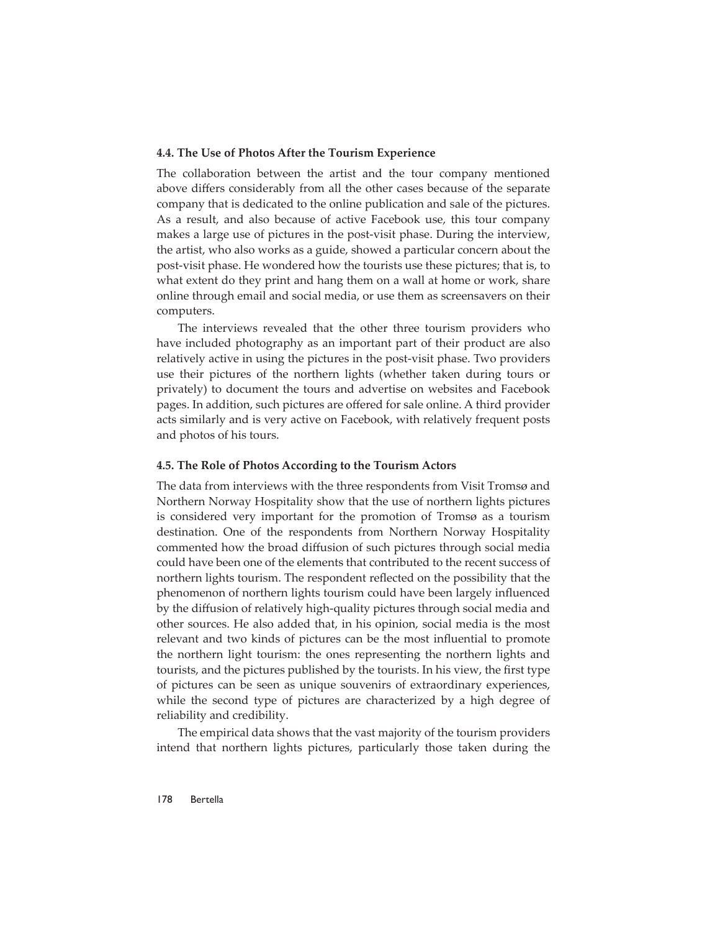#### **4.4. The Use of Photos After the Tourism Experience**

The collaboration between the artist and the tour company mentioned above differs considerably from all the other cases because of the separate company that is dedicated to the online publication and sale of the pictures. As a result, and also because of active Facebook use, this tour company makes a large use of pictures in the post-visit phase. During the interview, the artist, who also works as a guide, showed a particular concern about the post-visit phase. He wondered how the tourists use these pictures; that is, to what extent do they print and hang them on a wall at home or work, share online through email and social media, or use them as screensavers on their computers.

The interviews revealed that the other three tourism providers who have included photography as an important part of their product are also relatively active in using the pictures in the post-visit phase. Two providers use their pictures of the northern lights (whether taken during tours or privately) to document the tours and advertise on websites and Facebook pages. In addition, such pictures are offered for sale online. A third provider acts similarly and is very active on Facebook, with relatively frequent posts and photos of his tours.

#### **4.5. The Role of Photos According to the Tourism Actors**

The data from interviews with the three respondents from Visit Tromsø and Northern Norway Hospitality show that the use of northern lights pictures is considered very important for the promotion of Tromsø as a tourism destination. One of the respondents from Northern Norway Hospitality commented how the broad diffusion of such pictures through social media could have been one of the elements that contributed to the recent success of northern lights tourism. The respondent reflected on the possibility that the phenomenon of northern lights tourism could have been largely influenced by the diffusion of relatively high-quality pictures through social media and other sources. He also added that, in his opinion, social media is the most relevant and two kinds of pictures can be the most influential to promote the northern light tourism: the ones representing the northern lights and tourists, and the pictures published by the tourists. In his view, the first type of pictures can be seen as unique souvenirs of extraordinary experiences, while the second type of pictures are characterized by a high degree of reliability and credibility.

The empirical data shows that the vast majority of the tourism providers intend that northern lights pictures, particularly those taken during the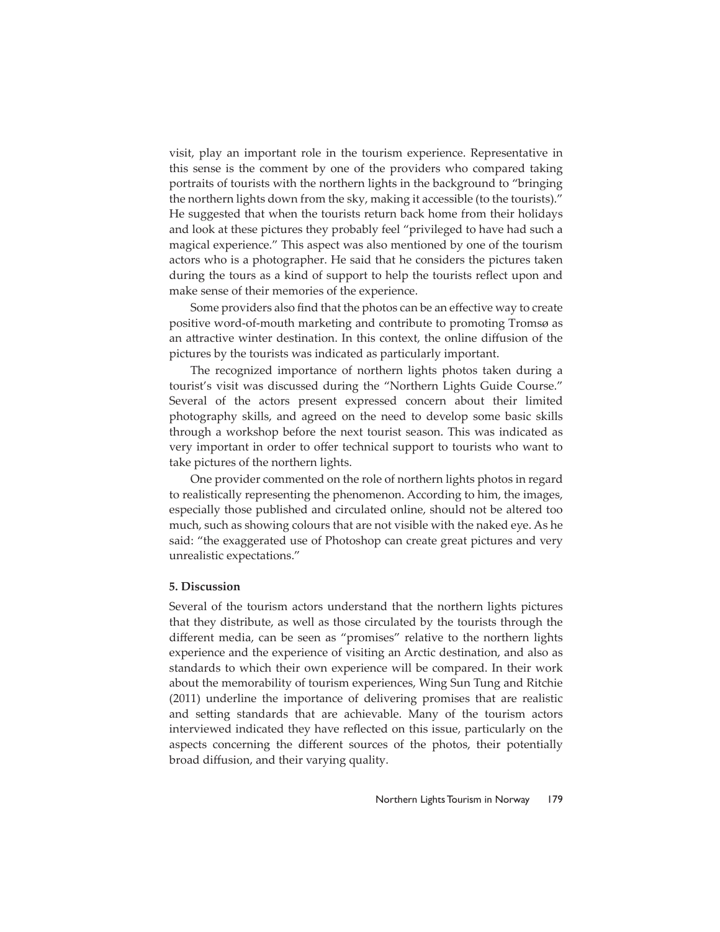visit, play an important role in the tourism experience. Representative in this sense is the comment by one of the providers who compared taking portraits of tourists with the northern lights in the background to "bringing the northern lights down from the sky, making it accessible (to the tourists)." He suggested that when the tourists return back home from their holidays and look at these pictures they probably feel "privileged to have had such a magical experience." This aspect was also mentioned by one of the tourism actors who is a photographer. He said that he considers the pictures taken during the tours as a kind of support to help the tourists reflect upon and make sense of their memories of the experience.

Some providers also find that the photos can be an effective way to create positive word-of-mouth marketing and contribute to promoting Tromsø as an attractive winter destination. In this context, the online diffusion of the pictures by the tourists was indicated as particularly important.

The recognized importance of northern lights photos taken during a tourist's visit was discussed during the "Northern Lights Guide Course." Several of the actors present expressed concern about their limited photography skills, and agreed on the need to develop some basic skills through a workshop before the next tourist season. This was indicated as very important in order to offer technical support to tourists who want to take pictures of the northern lights.

One provider commented on the role of northern lights photos in regard to realistically representing the phenomenon. According to him, the images, especially those published and circulated online, should not be altered too much, such as showing colours that are not visible with the naked eye. As he said: "the exaggerated use of Photoshop can create great pictures and very unrealistic expectations."

#### **5. Discussion**

Several of the tourism actors understand that the northern lights pictures that they distribute, as well as those circulated by the tourists through the different media, can be seen as "promises" relative to the northern lights experience and the experience of visiting an Arctic destination, and also as standards to which their own experience will be compared. In their work about the memorability of tourism experiences, Wing Sun Tung and Ritchie (2011) underline the importance of delivering promises that are realistic and setting standards that are achievable. Many of the tourism actors interviewed indicated they have reflected on this issue, particularly on the aspects concerning the different sources of the photos, their potentially broad diffusion, and their varying quality.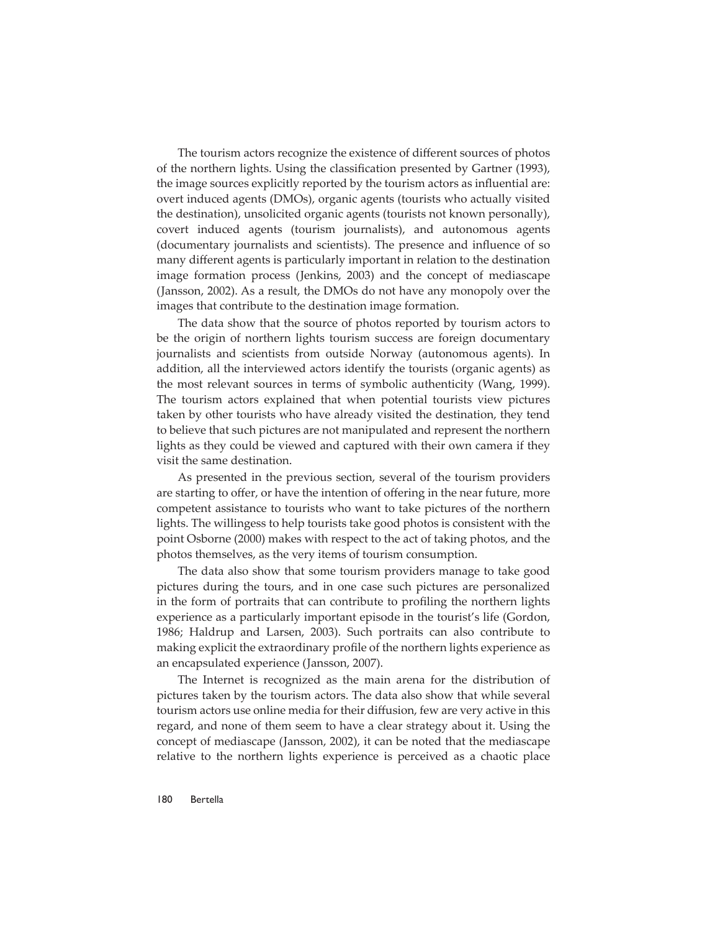The tourism actors recognize the existence of different sources of photos of the northern lights. Using the classification presented by Gartner (1993), the image sources explicitly reported by the tourism actors as influential are: overt induced agents (DMOs), organic agents (tourists who actually visited the destination), unsolicited organic agents (tourists not known personally), covert induced agents (tourism journalists), and autonomous agents (documentary journalists and scientists). The presence and influence of so many different agents is particularly important in relation to the destination image formation process (Jenkins, 2003) and the concept of mediascape (Jansson, 2002). As a result, the DMOs do not have any monopoly over the images that contribute to the destination image formation.

The data show that the source of photos reported by tourism actors to be the origin of northern lights tourism success are foreign documentary journalists and scientists from outside Norway (autonomous agents). In addition, all the interviewed actors identify the tourists (organic agents) as the most relevant sources in terms of symbolic authenticity (Wang, 1999). The tourism actors explained that when potential tourists view pictures taken by other tourists who have already visited the destination, they tend to believe that such pictures are not manipulated and represent the northern lights as they could be viewed and captured with their own camera if they visit the same destination.

As presented in the previous section, several of the tourism providers are starting to offer, or have the intention of offering in the near future, more competent assistance to tourists who want to take pictures of the northern lights. The willingess to help tourists take good photos is consistent with the point Osborne (2000) makes with respect to the act of taking photos, and the photos themselves, as the very items of tourism consumption.

The data also show that some tourism providers manage to take good pictures during the tours, and in one case such pictures are personalized in the form of portraits that can contribute to profiling the northern lights experience as a particularly important episode in the tourist's life (Gordon, 1986; Haldrup and Larsen, 2003). Such portraits can also contribute to making explicit the extraordinary profile of the northern lights experience as an encapsulated experience (Jansson, 2007).

The Internet is recognized as the main arena for the distribution of pictures taken by the tourism actors. The data also show that while several tourism actors use online media for their diffusion, few are very active in this regard, and none of them seem to have a clear strategy about it. Using the concept of mediascape (Jansson, 2002), it can be noted that the mediascape relative to the northern lights experience is perceived as a chaotic place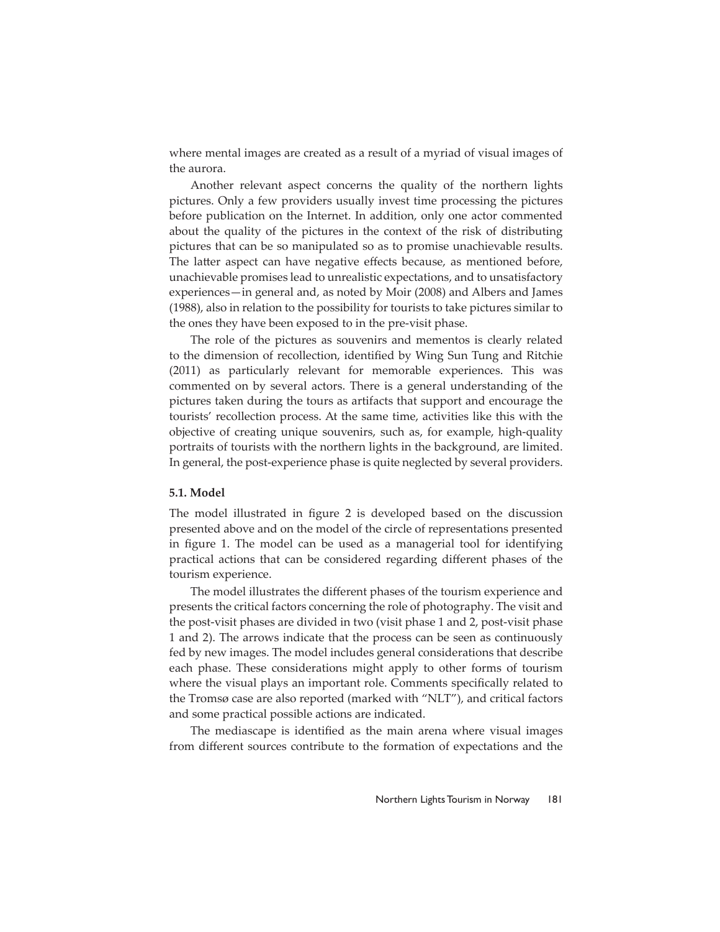where mental images are created as a result of a myriad of visual images of the aurora.

Another relevant aspect concerns the quality of the northern lights pictures. Only a few providers usually invest time processing the pictures before publication on the Internet. In addition, only one actor commented about the quality of the pictures in the context of the risk of distributing pictures that can be so manipulated so as to promise unachievable results. The latter aspect can have negative effects because, as mentioned before, unachievable promises lead to unrealistic expectations, and to unsatisfactory experiences—in general and, as noted by Moir (2008) and Albers and James (1988), also in relation to the possibility for tourists to take pictures similar to the ones they have been exposed to in the pre-visit phase.

The role of the pictures as souvenirs and mementos is clearly related to the dimension of recollection, identified by Wing Sun Tung and Ritchie (2011) as particularly relevant for memorable experiences. This was commented on by several actors. There is a general understanding of the pictures taken during the tours as artifacts that support and encourage the tourists' recollection process. At the same time, activities like this with the objective of creating unique souvenirs, such as, for example, high-quality portraits of tourists with the northern lights in the background, are limited. In general, the post-experience phase is quite neglected by several providers.

#### **5.1. Model**

The model illustrated in figure 2 is developed based on the discussion presented above and on the model of the circle of representations presented in figure 1. The model can be used as a managerial tool for identifying practical actions that can be considered regarding different phases of the tourism experience.

The model illustrates the different phases of the tourism experience and presents the critical factors concerning the role of photography. The visit and the post-visit phases are divided in two (visit phase 1 and 2, post-visit phase 1 and 2). The arrows indicate that the process can be seen as continuously fed by new images. The model includes general considerations that describe each phase. These considerations might apply to other forms of tourism where the visual plays an important role. Comments specifically related to the Tromsø case are also reported (marked with "NLT"), and critical factors and some practical possible actions are indicated.

The mediascape is identified as the main arena where visual images from different sources contribute to the formation of expectations and the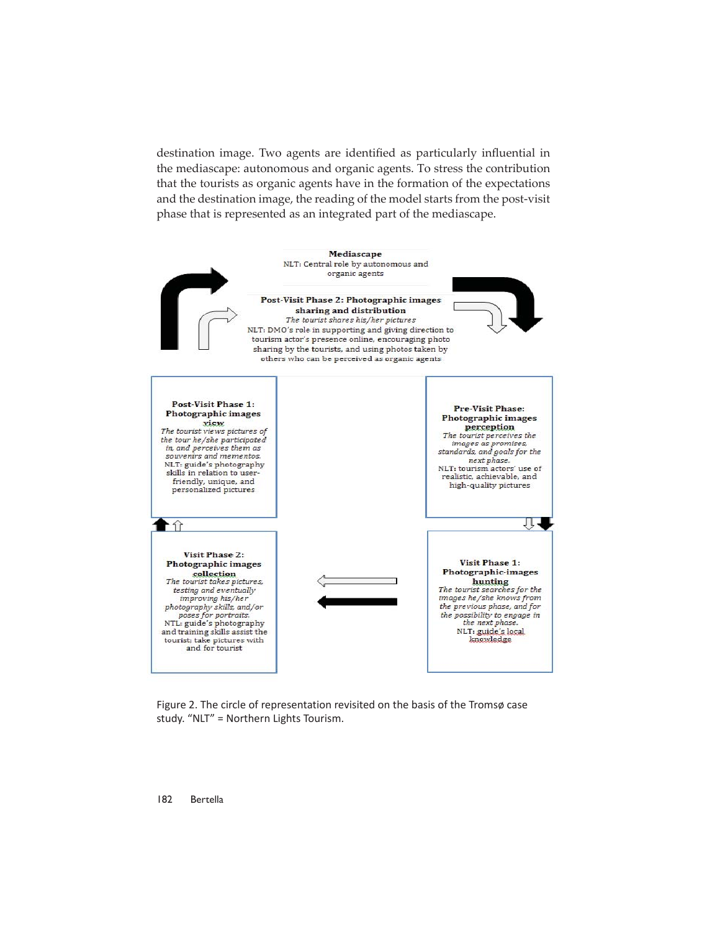destination image. Two agents are identified as particularly influential in the mediascape: autonomous and organic agents. To stress the contribution that the tourists as organic agents have in the formation of the expectations and the destination image, the reading of the model starts from the post-visit phase that is represented as an integrated part of the mediascape.



Figure 2. The circle of representation revisited on the basis of the Tromsø case study. "NLT" = Northern Lights Tourism.

182 Bertella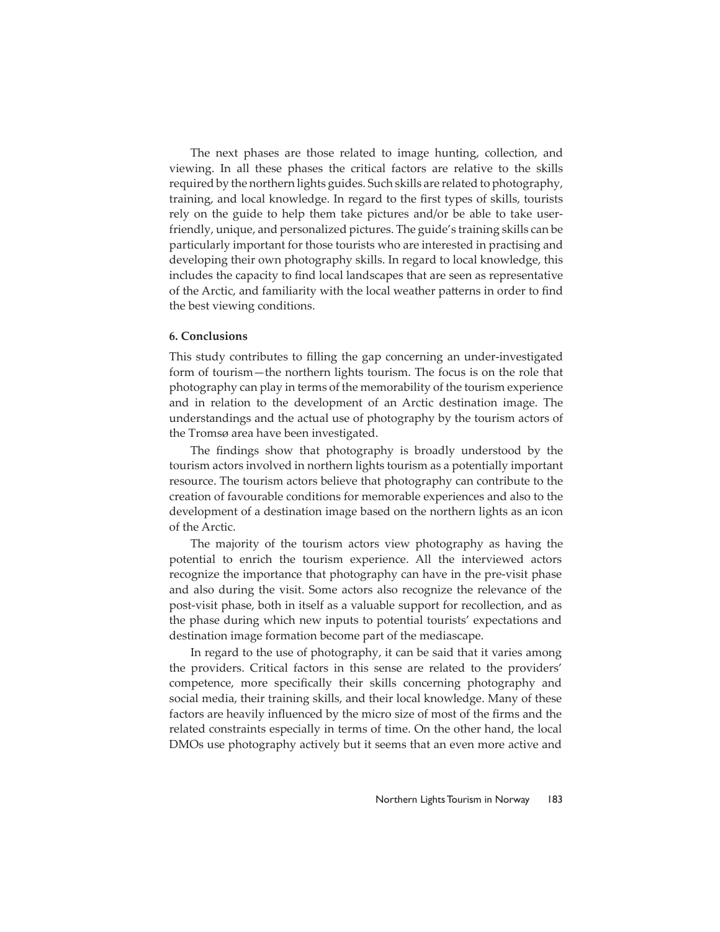The next phases are those related to image hunting, collection, and viewing. In all these phases the critical factors are relative to the skills required by the northern lights guides. Such skills are related to photography, training, and local knowledge. In regard to the first types of skills, tourists rely on the guide to help them take pictures and/or be able to take userfriendly, unique, and personalized pictures. The guide's training skills can be particularly important for those tourists who are interested in practising and developing their own photography skills. In regard to local knowledge, this includes the capacity to find local landscapes that are seen as representative of the Arctic, and familiarity with the local weather patterns in order to find the best viewing conditions.

# **6. Conclusions**

This study contributes to filling the gap concerning an under-investigated form of tourism—the northern lights tourism. The focus is on the role that photography can play in terms of the memorability of the tourism experience and in relation to the development of an Arctic destination image. The understandings and the actual use of photography by the tourism actors of the Tromsø area have been investigated.

The findings show that photography is broadly understood by the tourism actors involved in northern lights tourism as a potentially important resource. The tourism actors believe that photography can contribute to the creation of favourable conditions for memorable experiences and also to the development of a destination image based on the northern lights as an icon of the Arctic.

The majority of the tourism actors view photography as having the potential to enrich the tourism experience. All the interviewed actors recognize the importance that photography can have in the pre-visit phase and also during the visit. Some actors also recognize the relevance of the post-visit phase, both in itself as a valuable support for recollection, and as the phase during which new inputs to potential tourists' expectations and destination image formation become part of the mediascape.

In regard to the use of photography, it can be said that it varies among the providers. Critical factors in this sense are related to the providers' competence, more specifically their skills concerning photography and social media, their training skills, and their local knowledge. Many of these factors are heavily influenced by the micro size of most of the firms and the related constraints especially in terms of time. On the other hand, the local DMOs use photography actively but it seems that an even more active and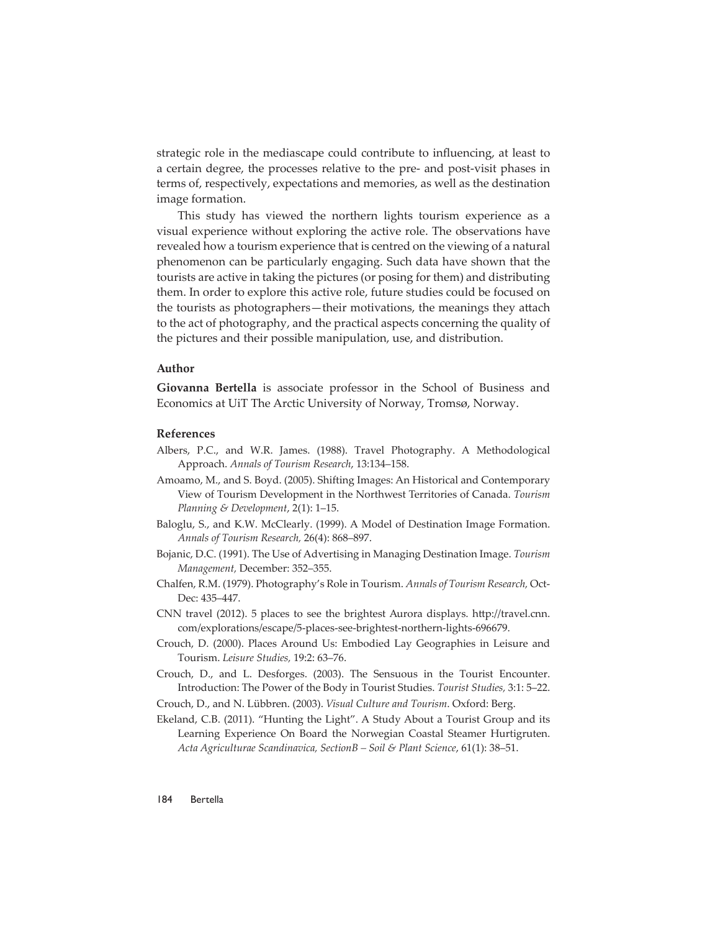strategic role in the mediascape could contribute to influencing, at least to a certain degree, the processes relative to the pre- and post-visit phases in terms of, respectively, expectations and memories, as well as the destination image formation.

This study has viewed the northern lights tourism experience as a visual experience without exploring the active role. The observations have revealed how a tourism experience that is centred on the viewing of a natural phenomenon can be particularly engaging. Such data have shown that the tourists are active in taking the pictures (or posing for them) and distributing them. In order to explore this active role, future studies could be focused on the tourists as photographers—their motivations, the meanings they attach to the act of photography, and the practical aspects concerning the quality of the pictures and their possible manipulation, use, and distribution.

#### **Author**

**Giovanna Bertella** is associate professor in the School of Business and Economics at UiT The Arctic University of Norway, Tromsø, Norway.

### **References**

- Albers, P.C., and W.R. James. (1988). Travel Photography. A Methodological Approach. *Annals of Tourism Research*, 13:134–158.
- Amoamo, M., and S. Boyd. (2005). Shifting Images: An Historical and Contemporary View of Tourism Development in the Northwest Territories of Canada. *Tourism Planning & Development*, 2(1): 1–15.
- Baloglu, S., and K.W. McClearly. (1999). A Model of Destination Image Formation. *Annals of Tourism Research,* 26(4): 868–897.
- Bojanic, D.C. (1991). The Use of Advertising in Managing Destination Image. *Tourism Management,* December: 352–355.
- Chalfen, R.M. (1979). Photography's Role in Tourism. *Annals of Tourism Research,* Oct-Dec: 435–447.
- CNN travel (2012). 5 places to see the brightest Aurora displays. http://travel.cnn. com/explorations/escape/5-places-see-brightest-northern-lights-696679.
- Crouch, D. (2000). Places Around Us: Embodied Lay Geographies in Leisure and Tourism. *Leisure Studies,* 19:2: 63–76.
- Crouch, D., and L. Desforges. (2003). The Sensuous in the Tourist Encounter. Introduction: The Power of the Body in Tourist Studies. *Tourist Studies,* 3:1: 5–22.
- Crouch, D., and N. Lübbren. (2003). *Visual Culture and Tourism*. Oxford: Berg.
- Ekeland, C.B. (2011). "Hunting the Light". A Study About a Tourist Group and its Learning Experience On Board the Norwegian Coastal Steamer Hurtigruten. *Acta Agriculturae Scandinavica, SectionB – Soil & Plant Science*, 61(1): 38–51.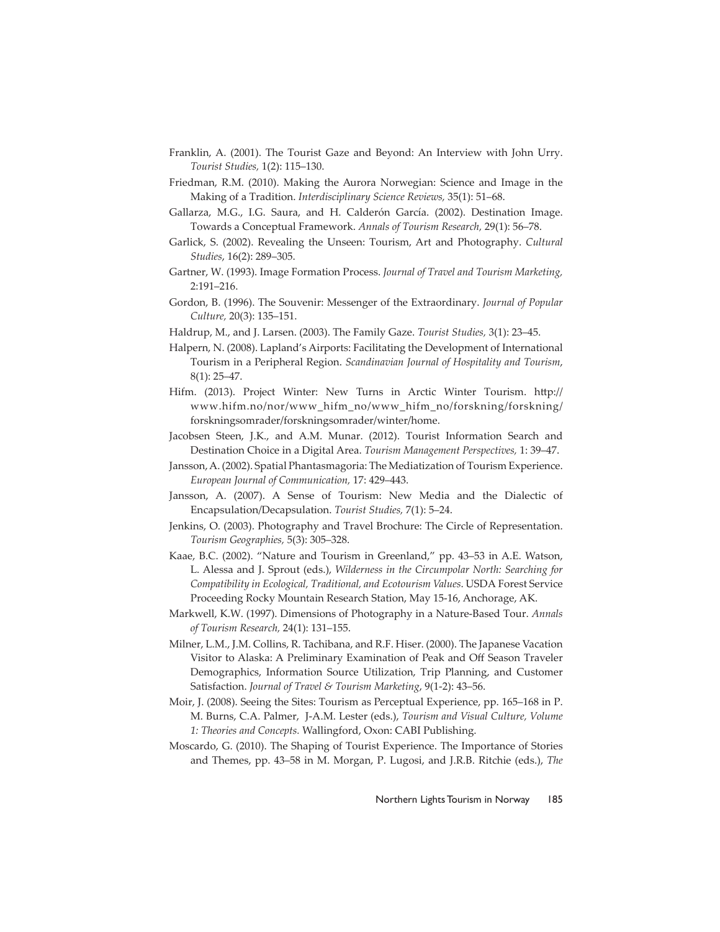- Franklin, A. (2001). The Tourist Gaze and Beyond: An Interview with John Urry. *Tourist Studies,* 1(2): 115–130.
- Friedman, R.M. (2010). Making the Aurora Norwegian: Science and Image in the Making of a Tradition. *Interdisciplinary Science Reviews,* 35(1): 51–68.
- Gallarza, M.G., I.G. Saura, and H. Calderón García. (2002). Destination Image. Towards a Conceptual Framework. *Annals of Tourism Research,* 29(1): 56–78.
- Garlick, S. (2002). Revealing the Unseen: Tourism, Art and Photography. *Cultural Studies*, 16(2): 289–305.
- Gartner, W. (1993). Image Formation Process. *Journal of Travel and Tourism Marketing,* 2:191–216.
- Gordon, B. (1996). The Souvenir: Messenger of the Extraordinary. *Journal of Popular Culture,* 20(3): 135–151.
- Haldrup, M., and J. Larsen. (2003). The Family Gaze. *Tourist Studies,* 3(1): 23–45.
- Halpern, N. (2008). Lapland's Airports: Facilitating the Development of International Tourism in a Peripheral Region. *Scandinavian Journal of Hospitality and Tourism*, 8(1): 25–47.
- Hifm. (2013). Project Winter: New Turns in Arctic Winter Tourism. http:// www.hifm.no/nor/www\_hifm\_no/www\_hifm\_no/forskning/forskning/ forskningsomrader/forskningsomrader/winter/home.
- Jacobsen Steen, J.K., and A.M. Munar. (2012). Tourist Information Search and Destination Choice in a Digital Area. *Tourism Management Perspectives,* 1: 39–47.
- Jansson, A. (2002). Spatial Phantasmagoria: The Mediatization of Tourism Experience. *European Journal of Communication,* 17: 429–443.
- Jansson, A. (2007). A Sense of Tourism: New Media and the Dialectic of Encapsulation/Decapsulation. *Tourist Studies,* 7(1): 5–24.
- Jenkins, O. (2003). Photography and Travel Brochure: The Circle of Representation. *Tourism Geographies,* 5(3): 305–328.
- Kaae, B.C. (2002). "Nature and Tourism in Greenland," pp. 43–53 in A.E. Watson, L. Alessa and J. Sprout (eds.), *Wilderness in the Circumpolar North: Searching for Compatibility in Ecological, Traditional, and Ecotourism Values*. USDA Forest Service Proceeding Rocky Mountain Research Station, May 15-16, Anchorage, AK.
- Markwell, K.W. (1997). Dimensions of Photography in a Nature-Based Tour. *Annals of Tourism Research,* 24(1): 131–155.
- Milner, L.M., J.M. Collins, R. Tachibana, and R.F. Hiser. (2000). The Japanese Vacation Visitor to Alaska: A Preliminary Examination of Peak and Off Season Traveler Demographics, Information Source Utilization, Trip Planning, and Customer Satisfaction. *Journal of Travel & Tourism Marketing*, 9(1-2): 43–56.
- Moir, J. (2008). Seeing the Sites: Tourism as Perceptual Experience, pp. 165–168 in P. M. Burns, C.A. Palmer, J-A.M. Lester (eds.), *Tourism and Visual Culture, Volume 1: Theories and Concepts.* Wallingford, Oxon: CABI Publishing.
- Moscardo, G. (2010). The Shaping of Tourist Experience. The Importance of Stories and Themes, pp. 43–58 in M. Morgan, P. Lugosi, and J.R.B. Ritchie (eds.), *The*